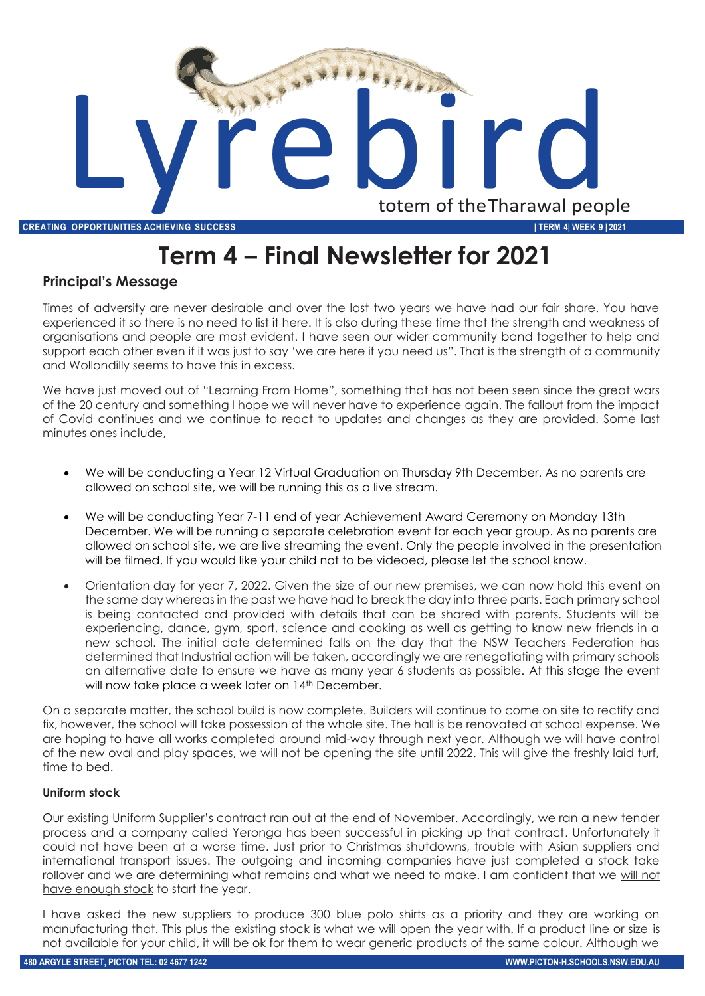

# **Term 4 – Final Newsletter for 2021**

## **Principal's Message**

Times of adversity are never desirable and over the last two years we have had our fair share. You have experienced it so there is no need to list it here. It is also during these time that the strength and weakness of organisations and people are most evident. I have seen our wider community band together to help and support each other even if it was just to say 'we are here if you need us". That is the strength of a community and Wollondilly seems to have this in excess.

We have just moved out of "Learning From Home", something that has not been seen since the great wars of the 20 century and something I hope we will never have to experience again. The fallout from the impact of Covid continues and we continue to react to updates and changes as they are provided. Some last minutes ones include,

- We will be conducting a Year 12 Virtual Graduation on Thursday 9th December. As no parents are allowed on school site, we will be running this as a live stream.
- We will be conducting Year 7-11 end of year Achievement Award Ceremony on Monday 13th December. We will be running a separate celebration event for each year group. As no parents are allowed on school site, we are live streaming the event. Only the people involved in the presentation will be filmed. If you would like your child not to be videoed, please let the school know.
- Orientation day for year 7, 2022. Given the size of our new premises, we can now hold this event on the same day whereas in the past we have had to break the day into three parts. Each primary school is being contacted and provided with details that can be shared with parents. Students will be experiencing, dance, gym, sport, science and cooking as well as getting to know new friends in a new school. The initial date determined falls on the day that the NSW Teachers Federation has determined that Industrial action will be taken, accordingly we are renegotiating with primary schools an alternative date to ensure we have as many year 6 students as possible. At this stage the event will now take place a week later on 14th December.

On a separate matter, the school build is now complete. Builders will continue to come on site to rectify and fix, however, the school will take possession of the whole site. The hall is be renovated at school expense. We are hoping to have all works completed around mid-way through next year. Although we will have control of the new oval and play spaces, we will not be opening the site until 2022. This will give the freshly laid turf, time to bed.

#### **Uniform stock**

Our existing Uniform Supplier's contract ran out at the end of November. Accordingly, we ran a new tender process and a company called Yeronga has been successful in picking up that contract. Unfortunately it could not have been at a worse time. Just prior to Christmas shutdowns, trouble with Asian suppliers and international transport issues. The outgoing and incoming companies have just completed a stock take rollover and we are determining what remains and what we need to make. I am confident that we will not have enough stock to start the year.

I have asked the new suppliers to produce 300 blue polo shirts as a priority and they are working on manufacturing that. This plus the existing stock is what we will open the year with. If a product line or size is not available for your child, it will be ok for them to wear generic products of the same colour. Although we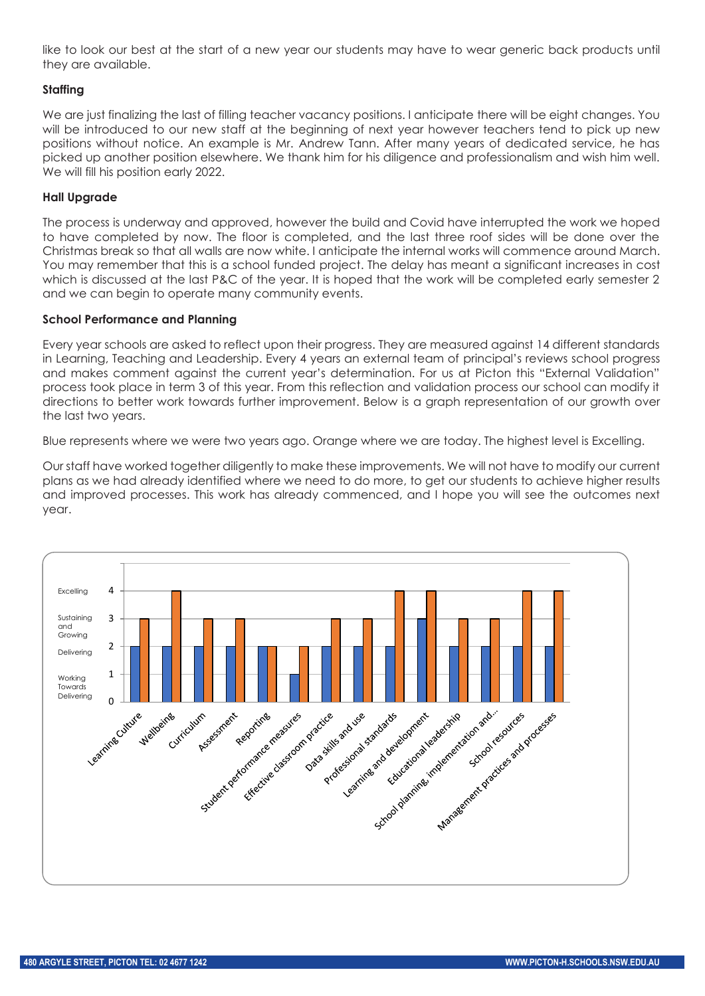like to look our best at the start of a new year our students may have to wear generic back products until they are available.

#### **Staffing**

We are just finalizing the last of filling teacher vacancy positions. I anticipate there will be eight changes. You will be introduced to our new staff at the beginning of next year however teachers tend to pick up new positions without notice. An example is Mr. Andrew Tann. After many years of dedicated service, he has picked up another position elsewhere. We thank him for his diligence and professionalism and wish him well. We will fill his position early 2022.

### **Hall Upgrade**

The process is underway and approved, however the build and Covid have interrupted the work we hoped to have completed by now. The floor is completed, and the last three roof sides will be done over the Christmas break so that all walls are now white. I anticipate the internal works will commence around March. You may remember that this is a school funded project. The delay has meant a significant increases in cost which is discussed at the last P&C of the year. It is hoped that the work will be completed early semester 2 and we can begin to operate many community events.

#### **School Performance and Planning**

Every year schools are asked to reflect upon their progress. They are measured against 14 different standards in Learning, Teaching and Leadership. Every 4 years an external team of principal's reviews school progress and makes comment against the current year's determination. For us at Picton this "External Validation" process took place in term 3 of this year. From this reflection and validation process our school can modify it directions to better work towards further improvement. Below is a graph representation of our growth over the last two years.

Blue represents where we were two years ago. Orange where we are today. The highest level is Excelling.

Our staff have worked together diligently to make these improvements. We will not have to modify our current plans as we had already identified where we need to do more, to get our students to achieve higher results and improved processes. This work has already commenced, and I hope you will see the outcomes next year.